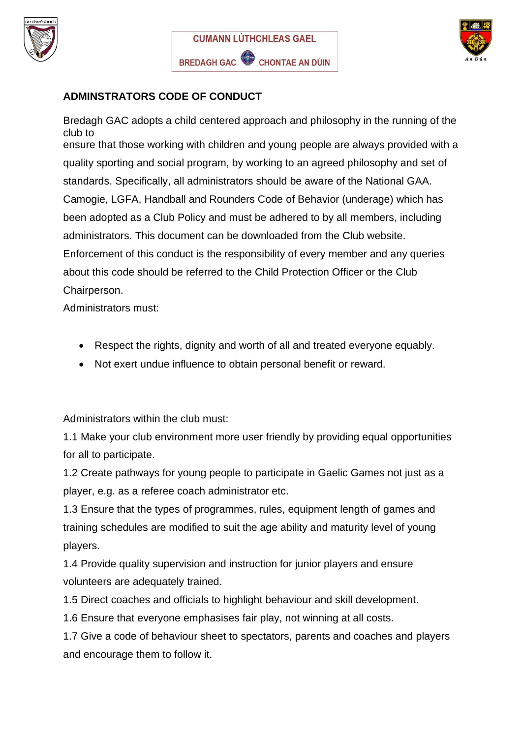





## **ADMINSTRATORS CODE OF CONDUCT**

Bredagh GAC adopts a child centered approach and philosophy in the running of the club to ensure that those working with children and young people are always provided with a quality sporting and social program, by working to an agreed philosophy and set of standards. Specifically, all administrators should be aware of the National GAA. Camogie, LGFA, Handball and Rounders Code of Behavior (underage) which has been adopted as a Club Policy and must be adhered to by all members, including administrators. This document can be downloaded from the Club website. Enforcement of this conduct is the responsibility of every member and any queries about this code should be referred to the Child Protection Officer or the Club Chairperson.

Administrators must:

- Respect the rights, dignity and worth of all and treated everyone equably.
- Not exert undue influence to obtain personal benefit or reward.

Administrators within the club must:

1.1 Make your club environment more user friendly by providing equal opportunities for all to participate.

1.2 Create pathways for young people to participate in Gaelic Games not just as a player, e.g. as a referee coach administrator etc.

1.3 Ensure that the types of programmes, rules, equipment length of games and training schedules are modified to suit the age ability and maturity level of young players.

1.4 Provide quality supervision and instruction for junior players and ensure volunteers are adequately trained.

1.5 Direct coaches and officials to highlight behaviour and skill development.

1.6 Ensure that everyone emphasises fair play, not winning at all costs.

1.7 Give a code of behaviour sheet to spectators, parents and coaches and players and encourage them to follow it.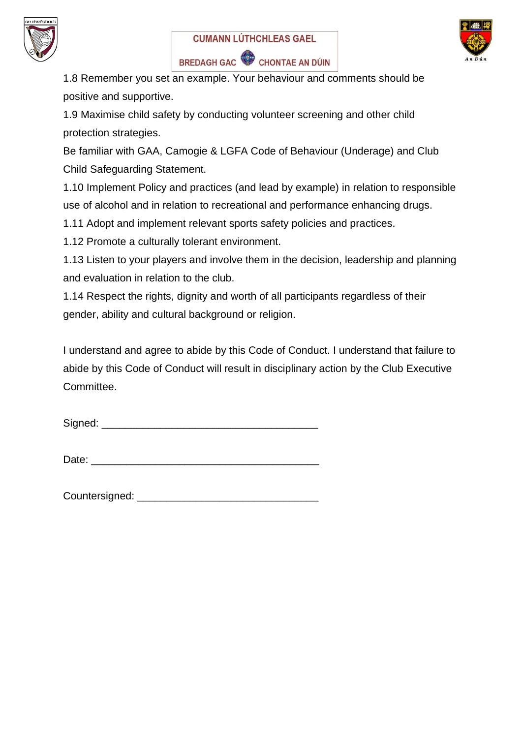





1.8 Remember you set an example. Your behaviour and comments should be positive and supportive.

1.9 Maximise child safety by conducting volunteer screening and other child protection strategies.

Be familiar with GAA, Camogie & LGFA Code of Behaviour (Underage) and Club Child Safeguarding Statement.

1.10 Implement Policy and practices (and lead by example) in relation to responsible use of alcohol and in relation to recreational and performance enhancing drugs.

1.11 Adopt and implement relevant sports safety policies and practices.

1.12 Promote a culturally tolerant environment.

1.13 Listen to your players and involve them in the decision, leadership and planning and evaluation in relation to the club.

1.14 Respect the rights, dignity and worth of all participants regardless of their gender, ability and cultural background or religion.

I understand and agree to abide by this Code of Conduct. I understand that failure to abide by this Code of Conduct will result in disciplinary action by the Club Executive Committee.

Signed: \_\_\_\_\_\_\_\_\_\_\_\_\_\_\_\_\_\_\_\_\_\_\_\_\_\_\_\_\_\_\_\_\_\_\_\_\_

Date: \_\_\_\_\_\_\_\_\_\_\_\_\_\_\_\_\_\_\_\_\_\_\_\_\_\_\_\_\_\_\_\_\_\_\_\_\_\_\_

Countersigned: **Example 2**